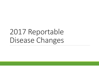# 2017 Reportable Disease Changes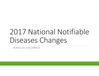# 2017 National Notifiable Diseases Changes

WWW.CDC.GOV/NNDSS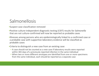### Salmonellosis

•Suspect case classification removed

- •Positive culture‐independent diagnostic testing (CIDT) results for *Salmonella* that are not culture‐confirmed will now be reported as probable cases
- •Illnesses among persons who are epidemiologically linked to <sup>a</sup> confirmed case or a probable case with supportive laboratory evidence will be classified as probable cases

•Criteria to distinguish <sup>a</sup> new case from an existing case:

- A case should not be counted as <sup>a</sup> new case if laboratory results were reported within 365 days of <sup>a</sup> previously reported infection in the same individual
- When two or more different serotypes are identified from one or more specimens from the same individual, each should be reported as <sup>a</sup> separate case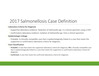### 2017 Salmonellosis Case Definition

#### •**Laboratory Criteria for Diagnosis**

- Supportive laboratory evidence: Detection of *Salmonella* spp. in <sup>a</sup> clinical specimen using <sup>a</sup> CIDT.
- Confirmatory laboratory evidence: Isolation of *Salmonella* spp. from <sup>a</sup> clinical specimen.

#### •**Epidemiologic Linkage**

• Probable: A clinically compatible case that is epidemiologically linked to <sup>a</sup> case that meets the supportive or confirmatory laboratory criteria for diagnosis.

- **Probable:** A case that meets the supportive laboratory criteria for diagnosis; **OR** <sup>a</sup> clinically compatible case that is epidemiologically linked to <sup>a</sup> case that meets the supportive or confirmatory laboratory criteria for diagnosis.
- **Confirmed:** A case that meets the confirmed laboratory criteria for diagnosis.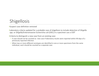## Shigellosis

#### •Suspect case definition removed

- •Laboratory criteria updated for <sup>a</sup> probable case of shigellosis to include detection of *Shigella* spp. or *Shigella*/Enteroinvasive Escherichia coli (EIEC) in <sup>a</sup> specimen use <sup>a</sup> CIDT
- •Criteria to distinguish <sup>a</sup> new case from an existing case:
	- A case should not be counted as new case if laboratory results were reported within 90 days of <sup>a</sup> previously reported infection
	- When two or more different serotypes are identified in one or more specimens from the same individual, each should be counted as <sup>a</sup> separate case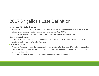### 2017 Shigellosis Case Definition

#### •**Laboratory Criteria for Diagnosis**

- Supportive laboratory evidence: Detection of *Shigella* spp. or *Shigella*/ enteroinvasive *E. coli* (EIEC) in <sup>a</sup> clinical specimen using <sup>a</sup> culture‐independent diagnostic testing (CIDT).
- Confirmatory laboratory evidence: Isolation of *Shigella* spp. from <sup>a</sup> clinical specimen.

#### •**Epidemiologic Linkage**

• A clinically compatible case that is epidemiologically linked to <sup>a</sup> case that meets the supportive or confirmatory laboratory criteria for diagnosis.

- **Probable:** A case that meets the supportive laboratory criteria for diagnosis; **OR** <sup>a</sup> clinically compatible case that is epidemiologically linked to <sup>a</sup> case that meets the supportive or confirmatory laboratory criteria for diagnosis.
- **Confirmed:** A case that meets the confirmed laboratory criteria for diagnosis.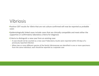### Vibriosis

- •Positive CIDT results for *Vibrio* that are not culture‐confirmed will now be reported as probable cases
- •Epidemiologically linked cases include cases that are clinically compatible and meet either the supportive or confirmatory laboratory criteria for diagnosis

•Criteria to distinguish <sup>a</sup> new case from an existing case:

- A case should not be counted as <sup>a</sup> new case if laboratory results were reported within 30 days of <sup>a</sup> previously reported infection
- When two or more different species of the family *Vibrionaceae* are identified in one or more specimens from the same individual, each should be reported as <sup>a</sup> separate case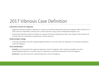### 2017 Vibriosis Case Definition

#### •**Laboratory Criteria for Diagnosis**

- Supportive laboratory evidence: Detection of <sup>a</sup> species of the family *Vibrionaceae* (other than toxigenic *Vibrio cholerae* O1 or O139, which are reportable as cholera) from <sup>a</sup> clinical specimen using <sup>a</sup> culture‐independent diagnostic test.
- Confirmatory laboratory evidence: Isolation of <sup>a</sup> species of the family *Vibrionaceae* (other than toxigenic *Vibrio cholerae* O1 or O139, which are reportable as cholera) from <sup>a</sup> clinical specimen.

#### •**Epidemiologic Linkage**

• A clinically compatible case that is epidemiologically linked to <sup>a</sup> case that meets the supportive or confirmatory laboratory criteria for diagnosis.

- **Probable:** A case that meets the supportive laboratory criteria for diagnosis, OR <sup>a</sup> clinically compatible case that is epidemiologically linked to <sup>a</sup> case that meets the supportive or confirmatory laboratory criteria for diagnosis.
- **Confirmed:** A case that meets the confirmed laboratory criteria for diagnosis.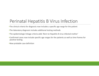### Perinatal Hepatitis B Virus Infection

•The clinical criteria for diagnosis now includes <sup>a</sup> specific age range for the patient

- •The laboratory diagnosis includes additional testing methods
- •The epidemiologic linkage criteria adds 'Born to Hepatitis B virus infected mother'
- •Confirmed cases now include specific age ranges for the patients as well as time frames for positive testing.

•New probable case definition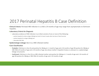### 2017 Perinatal Hepatitis B Case Definition

•**Clinical Criteria:** Perinatal HBV infection in <sup>a</sup> child ≤ 24 months of age may range from asymptomatic to fulminant hepatitis.

#### •**Laboratory Criteria for Diagnosis**

- Laboratory evidence of HBV infection in an infant consists of one or more of the following:
	- positive hepatitis B surface antigen (HBsAg) test (only if at least 4 weeks after last dose of Hep B vaccine)
	- positive hepatitis B <sup>e</sup> antigen (HBeAg) test
	- detectable HBV DNA
- •**Epidemiologic Linkage:** Born to <sup>a</sup> HBV‐infected mother.

- **Probable:** Child born in the US and positive for HBsAg at ≥ 1 month of age and ≤ 24 months of age OR positive for HBeAg or HBV DNA ≥9 months of age and ≤ 24 months of age, but whose mother's hepatitis B status is unknown (i.e. epidemiologic linkage not present).
- **Confirmed:** Child born in the US to <sup>a</sup> HBV‐infected mother and positive for HBsAg at ≥ 1 month of age and ≤ 24 months of age OR positive for HBeAg or HBV DNA ≥9 months of age and ≤ 24 months of age.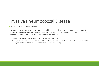### Invasive Pneumococcal Disease

•Suspect case definition removed

•The definition for probable cases has been added to include <sup>a</sup> case that meets the supportive laboratory evidence which is the identification of *Streptococcus pneumoniae* from <sup>a</sup> normally sterile body site by <sup>a</sup> CIDT without isolation of the bacteria

•Criteria for distinguishing <sup>a</sup> new case from an existing case:

• A single case should be defined as <sup>a</sup> health event with <sup>a</sup> specimen collection date the occurs more than 30 days from the last known specimen with <sup>a</sup> positive lab finding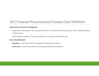### 2017 Invasive Pneumococcal Disease Case Definition

#### •**Laboratory Criteria for Diagnosis**

- Supportive: Identification of *S. pneumoniae* from <sup>a</sup> normally sterile body site by <sup>a</sup> CIDT without isolation of the bacteria.
- Confirmatory: Isolation of *S. pneumoniae* from <sup>a</sup> normally sterile body site.

- **Probable:** A case that meets the supportive laboratory evidence.
- **Confirmed:** A case that meets the confirmatory laboratory evidence.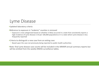### Lyme Disease

•Updated laboratory criteria

•Reference to exposure in "endemic" counties is removed

• Exposure is now categorized based on whether it likely occurred in <sup>a</sup> state that consistently reports <sup>a</sup> high incidence of Lyme disease (>10 per 100,000 population) or in <sup>a</sup> state where Lyme disease is less frequently reported

•Criteria to distinguish <sup>a</sup> new case from an exiting case:

• Based upon the case not previously being reported to public health authorities

•Note: final Lyme disease case counts will be included in the *MMWR* annual summary reports but will be omitted from the weekly NNDSS surveillance tables.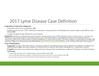### 2017 Lyme Disease Case Definition

#### •**Laboratory Criteria for Diagnosis**

- A positive culture for *B. burgdorferi*, **OR**
- A positive two-tier test. (This is defined as a positive or equivocal EIA or IFA followed by a positive IgM or IgG WB for Lyme<br>disease **OR** disease **OR**
- A positive single‐tier IgG WB test for Lyme disease

**Exposure:** Defined as having been (less than or equal to 30 days before onset of EM) in wooded, brushy, or grassy areas (i.e., potential tick habitats) of Lyme disease vectors. Since infected ticks are not uniformly distr occurred in a high or low incidence state is needed. An exposure in a high-incidence state is defined as exposure in a state with an average Lyme<br>disease incidence of at least 10 confirmed cases/ 100,000 for the previous t a disease incidence of <10 confirmed cases/100,000 (*see* https://www.cdc.gov/lyme/stats/tables.html). A history of tick bite is not required.

- Suspected: A case of EM where there is no known exposure (as defined above) and no laboratory evidence of infection (as<br>defined above), OR a case with evidence of infection but no clinical information available (e.g., a
- **Probable:** Any other case of physician‐diagnosed Lyme disease that has laboratory evidence of infection (as defined above).
- **Confirmed:**
	- A case of EM with exposure in <sup>a</sup> high incidence state (as defined above), **OR**
	- A case of EM with laboratory evidence of infection and <sup>a</sup> known exposure in <sup>a</sup> low incidence state, **OR**
	- Any case with at least one late manifestation that has laboratory evidence of infection.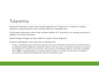### Tularemia

•Supportive laboratory criteria now includes detection of *F. tularensis* in <sup>a</sup> clinical or autopsy specimen using polymerase chain reaction (PCR), for <sup>a</sup> probable case

•Confirmatory laboratory criteria now includes isolation of *F. tularensis* in an autopsy specimen in addition to <sup>a</sup> clinical specimen

•Epidemiological linkage has been added to support clinical diagnosis.

•Criteria to distinguish <sup>a</sup> new case from an existing case:

• Serial or subsequent cases of tularemia experienced by one individual should only be counted if there is an additional epidemiologically compatible exposure and new onset of symptoms. Because the duration of antibodies to *F. tularensis* is not known, mere presence of antibodies without <sup>a</sup> clinically‐compatible illness **AND** an epidemiologically compatible exposure within 12 months of onset may not indicate <sup>a</sup> new infection, especially among persons who live in endemic areas.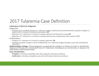### 2017 Tularemia Case Definition

#### •**Laboratory Criteria for Diagnosis**

- •*Supportive*
	- Elevated serum antibody titer(s) to *F. tularensis* antigen (without documented fourfold or greater change) in <sup>a</sup> patient with no history of tularemia vaccination, **OR**
	- Detection of *F. tularensis* in <sup>a</sup> clinical or autopsy specimen by fluorescent assay, **OR**
	- Detection of *F. tularensis* in <sup>a</sup> clinical or autopsy specimen by <sup>a</sup> polymerase chain reaction (PCR)

#### •*Confirmatory*

- Isolation of *F. tularensis* in <sup>a</sup> clinical or autopsy specimen, **OR**
- Fourfold or greater change in serum antibody titer to *F. tularensis* antigen between acute and convalescent specimens
- •**Epidemiologic Linkage:** Clinical diagnosis is supported by evidence or history of <sup>a</sup> tick or deerfly bite, exposure to tissues of a mammalian host of *F. tularensis*, including via an animal bite, or exposure to potentially contaminated water.

- **Probable:** A clinically-compatible case with supportive laboratory evidence.
- **Confirmed:** A clinically‐compatible case with confirmatory laboratory evidence.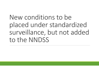New conditions to be placed under standardized surveillance, but not added to the NNDSS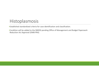### Histoplasmosis

•Established standardized criteria for case identification and classification.

•Condition will be added to the NNDSS pending Office of Management and Budget Paperwork Reduction Act Approval (OMB PRA)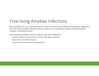### Free‐living Amebae Infections

•New standards for case identification to reflect increased use of advanced molecular diagnostics for Free‐living Amebae infection and less reliance on visualization along to identify amebae changes in testing practices

•The following conditions will be added to the 2017 NNDSS list

- *Naegleria fowleri* causing Primary Amebic Meningoencephalitis
- *Balamuthia mandrillaris* disease
- Acanthamoeba disease (excluding keratitis)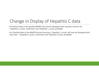### Change in Display of Hepatitis C data

•Provisional data in the weekly MMWE will now be displayed with separate columns for 'Hepatitis C, acute, confirmed' and 'Hepatitis c, acute, probable'

•For finalized data in the NNDSS Annual Summary, 'Hepatitis C, acute' will now be displayed with two rows – 'Hepatitis C acute, confirmed' and 'Hepatitis C acute, probable'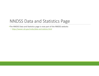### NNDSS Data and Statistics Page

•The NNDSS Data and Statistics page is now part of the NNDSS website:

• https://wwwn.cdc.gov/nndss/data‐and‐statisics.html